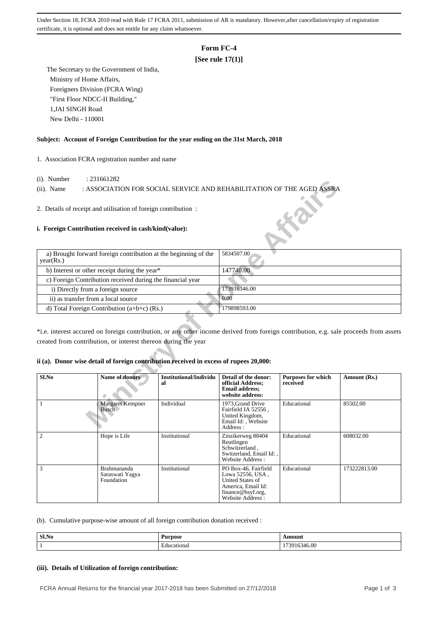Under Section 18, FCRA 2010 read with Rule 17 FCRA 2011, submission of AR is mandatory. However,after cancellation/expiry of registration certificate, it is optional and does not entitle for any claim whatsoever.

# **Form FC-4**

## **[See rule 17(1)]**

 The Secretary to the Government of India, Ministry of Home Affairs, Foreigners Division (FCRA Wing) "First Floor NDCC-II Building," 1,JAI SINGH Road New Delhi - 110001

### **Subject: Account of Foreign Contribution for the year ending on the 31st March, 2018**

1. Association FCRA registration number and name

- (i). Number : 231661282
- (ii). Name : ASSOCIATION FOR SOCIAL SERVICE AND REHABILITATION OF THE AGED ASSRA

### **i. Foreign Contribution received in cash/kind(value):**

| $(1)$ . INUITIUUT                                          | . $\omega$ 1001 $\omega$                                                                                                |                              |                                                                                                 |                                       |                                                                                                                                       |
|------------------------------------------------------------|-------------------------------------------------------------------------------------------------------------------------|------------------------------|-------------------------------------------------------------------------------------------------|---------------------------------------|---------------------------------------------------------------------------------------------------------------------------------------|
| $(ii)$ . Name                                              | : ASSOCIATION FOR SOCIAL SERVICE AND REHABILITATION OF THE AGED ASSRA                                                   |                              |                                                                                                 |                                       |                                                                                                                                       |
|                                                            |                                                                                                                         |                              |                                                                                                 |                                       |                                                                                                                                       |
|                                                            | 2. Details of receipt and utilisation of foreign contribution:<br>i. Foreign Contribution received in cash/kind(value): |                              |                                                                                                 |                                       |                                                                                                                                       |
|                                                            |                                                                                                                         |                              |                                                                                                 |                                       |                                                                                                                                       |
| year(Rs.)                                                  | a) Brought forward foreign contribution at the beginning of the                                                         |                              | 5834507.00                                                                                      |                                       |                                                                                                                                       |
| b) Interest or other receipt during the year*              |                                                                                                                         |                              | 147740.00                                                                                       |                                       |                                                                                                                                       |
| c) Foreign Contribution received during the financial year |                                                                                                                         |                              |                                                                                                 |                                       |                                                                                                                                       |
| i) Directly from a foreign source                          |                                                                                                                         |                              | 173916346.00                                                                                    |                                       |                                                                                                                                       |
| ii) as transfer from a local source                        |                                                                                                                         |                              | 0.00                                                                                            |                                       |                                                                                                                                       |
|                                                            | d) Total Foreign Contribution $(a+b+c)$ (Rs.)                                                                           |                              | 179898593.00                                                                                    |                                       |                                                                                                                                       |
|                                                            | created from contribution, or interest thereon during the year                                                          |                              |                                                                                                 |                                       | *i.e. interest accured on foreign contribution, or any other income derived from foreign contribution, e.g. sale proceeds from assets |
|                                                            | ii (a). Donor wise detail of foreign contribution received in excess of rupees 20,000:                                  |                              |                                                                                                 |                                       |                                                                                                                                       |
| Sl.No                                                      | <b>Name of donors</b>                                                                                                   | Institutional/Individu<br>al | Detail of the donor:<br>official Address;<br><b>Email address:</b><br>website address:          | <b>Purposes for which</b><br>received | Amount (Rs.)                                                                                                                          |
| 1                                                          | <b>Margaret Kempner</b><br><b>Busch</b>                                                                                 | Individual                   | 1973, Grand Drive<br>Fairfield IA 52556,<br>United Kingdom,<br>Email Id: , Website<br>Address : | Educational                           | 85502.00                                                                                                                              |

### **ii (a). Donor wise detail of foreign contribution received in excess of rupees 20,000:**

| Sl.No          | <b>Name of donors</b>                        | Institutional/Individu<br>al | Detail of the donor:<br>official Address;<br><b>Email address;</b><br>website address:                                      | <b>Purposes for which</b><br>received | Amount (Rs.) |
|----------------|----------------------------------------------|------------------------------|-----------------------------------------------------------------------------------------------------------------------------|---------------------------------------|--------------|
|                | <b>Margaret Kempner</b><br><b>Busch</b>      | Individual                   | 1973, Grand Drive<br>Fairfield IA 52556,<br>United Kingdom,<br>Email Id:, Website<br>Address :                              | Educational                           | 85502.00     |
| $\mathfrak{D}$ | Hope is Life                                 | Institutional                | Zinzikerweg 88404<br>Reutlingen<br>Schwitzerland,<br>Switzerland, Email Id:,<br>Website Address:                            | Educational                           | 608032.00    |
| 3              | Brahmananda<br>Saraswati Yagya<br>Foundation | Institutional                | PO Box-46, Fairfield<br>Lowa 52556, USA,<br>United States of<br>America, Email Id:<br>finance@bsyf.org,<br>Website Address: | Educational                           | 173222813.00 |

(b). Cumulative purpose-wise amount of all foreign contribution donation received :

| Sl.No | –<br><b>Purpose</b> | Amount                     |
|-------|---------------------|----------------------------|
| . .   | cational<br>:duc    | $\alpha$<br>730<br>-140.UU |

### **(iii). Details of Utilization of foreign contribution:**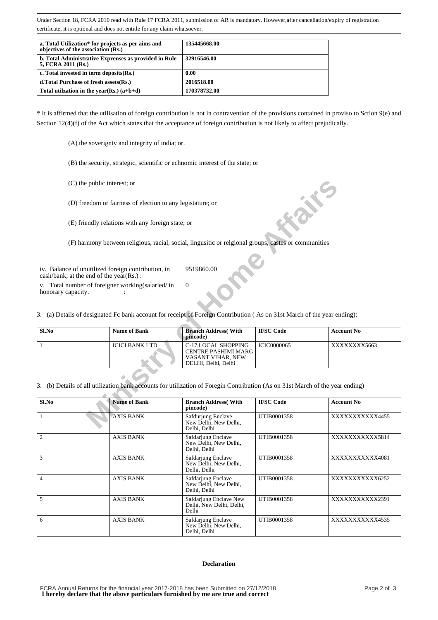Under Section 18, FCRA 2010 read with Rule 17 FCRA 2011, submission of AR is mandatory. However,after cancellation/expiry of registration certificate, it is optional and does not entitle for any claim whatsoever.

| a. Total Utilization* for projects as per aims and<br>objectives of the association (Rs.) | 135445668.00 |
|-------------------------------------------------------------------------------------------|--------------|
| b. Total Administrative Exprenses as provided in Rule<br>5, FCRA 2011 (Rs.)               | 32916546.00  |
| c. Total invested in term deposits (Rs.)                                                  | 0.00         |
| d. Total Purchase of fresh assets (Rs.)                                                   | 2016518.00   |
| Total utilization in the year(Rs.) $(a+b+d)$                                              | 170378732.00 |

\* It is affirmed that the utilisation of foreign contribution is not in contravention of the provisions contained in proviso to Sction 9(e) and Section 12(4)(f) of the Act which states that the acceptance of foreign contribution is not likely to affect prejudically.

(A) the soverignty and integrity of india; or.

(B) the security, strategic, scientific or echnomic interest of the state; or

- (C) the public interest; or
- (D) freedom or fairness of election to any legistature; or
- (E) friendly relations with any foreign state; or

|                    | (C) the public interest; or                                                                                                                            |                                                                                                |                    |                   |
|--------------------|--------------------------------------------------------------------------------------------------------------------------------------------------------|------------------------------------------------------------------------------------------------|--------------------|-------------------|
|                    | (D) freedom or fairness of election to any legistature; or                                                                                             |                                                                                                |                    |                   |
|                    | (E) friendly relations with any foreign state; or                                                                                                      |                                                                                                |                    |                   |
|                    | (F) harmony between religious, racial, social, lingusitic or relgional groups, castes or communities                                                   |                                                                                                |                    |                   |
| honorary capacity. | iv. Balance of unutilized foreign contribution, in<br>$\cosh/bank$ , at the end of the year(Rs.):<br>v. Total number of foreigner working (salaried/in | 9519860.00<br>$\Omega$                                                                         |                    |                   |
|                    | 3. (a) Details of designated Fc bank account for receipt of Foreign Contribution (As on 31st March of the year ending):                                |                                                                                                |                    |                   |
| Sl.No              | <b>Name of Bank</b>                                                                                                                                    | <b>Branch Address</b> (With<br>pincode)                                                        | <b>IFSC Code</b>   | <b>Account No</b> |
| 1                  | <b>ICICI BANK LTD</b>                                                                                                                                  | C-17, LOCAL SHOPPING<br><b>CENTRE PASHIMI MARG</b><br>VASANT VIHAR, NEW<br>DELHI, Delhi, Delhi | <b>ICIC0000065</b> | XXXXXXX5663       |
|                    | 3. (b) Details of all utilization bank accounts for utilization of Foregin Contribution (As on 31st March of the year ending)                          |                                                                                                |                    |                   |
| Sl.No              | <b>Name of Bank</b>                                                                                                                                    | <b>Branch Address</b> (With<br>pincode)                                                        | <b>IFSC Code</b>   | <b>Account No</b> |
| 1                  | <b>AXIS BANK</b>                                                                                                                                       | Safdurjung Enclave<br>New Delhi, New Delhi,<br>Dalhi Dalhi                                     | UTIB0001358        | XXXXXXXXXX4455    |

| Sl.No          | <b>Name of Bank</b> | <b>Branch Address</b> (With<br>pincode)                     | <b>IFSC Code</b> | <b>Account No</b> |
|----------------|---------------------|-------------------------------------------------------------|------------------|-------------------|
|                | <b>AXIS BANK</b>    | Safdurjung Enclave<br>New Delhi, New Delhi,<br>Delhi, Delhi | UTIB0001358      | XXXXXXXXXX4455    |
| $\overline{2}$ | <b>AXIS BANK</b>    | Safdarjung Enclave<br>New Delhi, New Delhi,<br>Delhi, Delhi | UTIB0001358      | XXXXXXXXXXX5814   |
| $\mathbf{3}$   | <b>AXIS BANK</b>    | Safdarjung Enclave<br>New Delhi, New Delhi,<br>Delhi, Delhi | UTIB0001358      | XXXXXXXXXX4081    |
| 4              | <b>AXIS BANK</b>    | Safdarjung Enclave<br>New Delhi, New Delhi,<br>Delhi, Delhi | UTIB0001358      | XXXXXXXXXXX6252   |
| 5              | <b>AXIS BANK</b>    | Safdarjung Enclave New<br>Delhi, New Delhi, Delhi,<br>Delhi | UTIB0001358      | XXXXXXXXXXX2391   |
| 6              | <b>AXIS BANK</b>    | Safdarjung Enclave<br>New Delhi, New Delhi,<br>Delhi, Delhi | UTIB0001358      | XXXXXXXXXX4535    |

#### **Declaration**